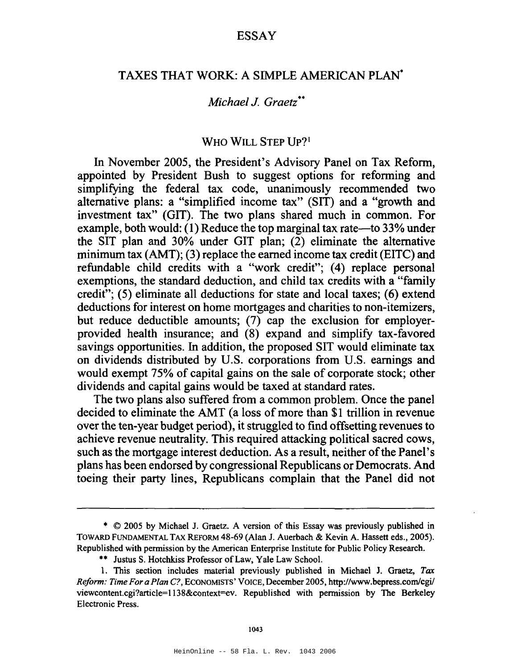# TAXES THAT WORK: A SIMPLE AMERICAN PLAN·

## *Michael J. Graetz··*

### WHO WILL STEP UP?<sup>1</sup>

In November 2005, the President's Advisory Panel on Tax Reform, appointed by President Bush to suggest options for reforming and simplifying the federal tax code, unanimously recommended two alternative plans: a "simplified income tax" (SIT) and a "growth and investment tax" (GIT). The two plans shared much in common. For example, both would:  $(1)$  Reduce the top marginal tax rate—to 33% under the SIT plan and 30% under GIT plan; (2) eliminate the alternative minimum tax (AMT); (3) replace the earned income tax credit (EITC) and refundable child credits with a "work credit"; (4) replace personal exemptions, the standard deduction, and child tax credits with a "family credit"; (5) eliminate all deductions for state and local taxes; (6) extend deductions for interest on home mortgages and charities to non-itemizers, but reduce deductible amounts; (7) cap the exclusion for employerprovided health insurance; and (8) expand and simplify tax-favored savings opportunities. In addition, the proposed SIT would eliminate tax on dividends distributed by U.S. corporations from U.S. earnings and would exempt 75% of capital gains on the sale of corporate stock; other dividends and capital gains would be taxed at standard rates.

The two plans also suffered from a common problem. Once the panel decided to eliminate the AMT (a loss of more than \$1 trillion in revenue over the ten-year budget period), it struggled to find offsetting revenues to achieve revenue neutrality. This required attacking political sacred cows, such as the mortgage interest deduction. As a result, neither of the Panel's plans has been endorsed by congressional Republicans or Democrats. And toeing their party lines, Republicans complain that the Panel did not

\*\* Justus S. Hotchkiss Professor of Law, Yale Law School.

<sup>•</sup> © 2005 by Michael J. Graetz. A version of this Essay was previously published in TOWARD FUNDAMENTAL TAX REFORM 48-69 (Alan J. Auerbach & Kevin A. Hassett eds., 2005). Republished with permission by the American Enterprise Institute for Public Policy Research.

<sup>1.</sup> This section includes material previously published in Michael J. Graetz, *Tax Reform: Time For a Plan C?,* ECONOMISTS' VOICE, December 2005, http://www.bepress.com/cgi/ viewcontent.cgi?article=1l38&context=ev. Republished with permission by The Berkeley Electronic Press.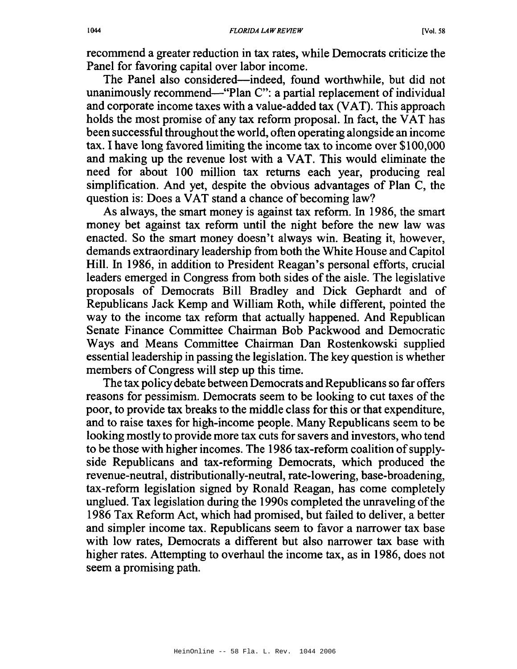recommend a greater reduction in tax rates, while Democrats criticize the Panel for favoring capital over labor income.

The Panel also considered—indeed, found worthwhile, but did not unanimously recommend—"Plan C": a partial replacement of individual and corporate income taxes with a value-added tax (VAT). This approach holds the most promise of any tax reform proposal. In fact, the VAT has been successful throughout the world, often operating alongside an income tax. I have long favored limiting the income tax to income over \$100,000 and making up the revenue lost with a VAT. This would eliminate the need for about 100 million tax returns each year, producing real simplification. And yet, despite the obvious advantages of Plan C, the question is: Does a VAT stand a chance of becoming law?

As always, the smart money is against tax reform. In 1986, the smart money bet against tax reform until the night before the new law was enacted. So the smart money doesn't always win. Beating it, however, demands extraordinary leadership from both the White House and Capitol Hill. In 1986, in addition to President Reagan's personal efforts, crucial leaders emerged in Congress from both sides of the aisle. The legislative proposals of Democrats Bill Bradley and Dick Gephardt and of Republicans Jack Kemp and William Roth, while different, pointed the way to the income tax reform that actually happened. And Republican Senate Finance Committee Chairman Bob Packwood and Democratic Ways and Means Committee Chairman Dan Rostenkowski supplied essential leadership in passing the legislation. The key question is whether members of Congress will step up this time.

The tax policy debate between Democrats and Republicans so far offers reasons for pessimism. Democrats seem to be looking to cut taxes of the poor, to provide tax breaks to the middle class for this or that expenditure, and to raise taxes for high-income people. Many Republicans seem to be looking mostly to provide more tax cuts for savers and investors, who tend to be those with higher incomes. The 1986 tax-reform coalition of supplyside Republicans and tax-reforming Democrats, which produced the revenue-neutral, distributionally-neutral, rate-lowering, base-broadening, tax-reform legislation signed by Ronald Reagan, has come completely unglued. Tax legislation during the 1990s completed the unraveling of the 1986 Tax Reform Act, which had promised, but failed to deliver, a better and simpler income tax. Republicans seem to favor a narrower tax base with low rates, Democrats a different but also narrower tax base with higher rates. Attempting to overhaul the income tax, as in 1986, does not seem a promising path.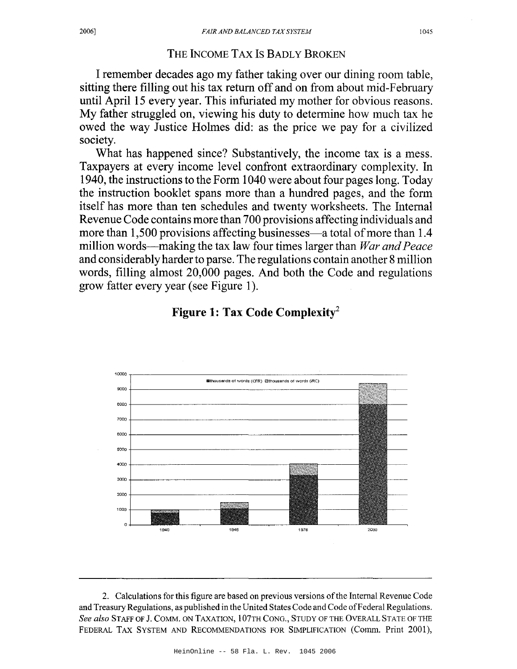#### THE INCOME TAX Is BADLY BROKEN

I remember decades ago my father taking over our dining room table, sitting there filling out his tax return off and on from about mid-February until April 15 every year. This infuriated my mother for obvious reasons. My father struggled on, viewing his duty to determine how much tax he owed the way Justice Holmes did: as the price we pay for a civilized society.

What has happened since? Substantively, the income tax is a mess. Taxpayers at every income level confront extraordinary complexity. In 1940, the instructions to the Form 1040 were about four pages long. Today the instruction booklet spans more than a hundred pages, and the form itself has more than ten schedules and twenty worksheets. The Internal Revenue Code contains more than 700 provisions affecting individuals and more than 1,500 provisions affecting businesses—a total of more than 1.4 million words—making the tax law four times larger than *War and Peace* and considerably harder to parse. The regulations contain another 8 million words, filling almost 20,000 pages. And both the Code and regulations grow fatter every year (see Figure 1).



#### **Figure 1: Tax Code Complexity2**

2. Calculations for this figure are based on previous versions ofthe Internal Revenue Code and Treasury Regulations, as published in the United States Code and Code of Federal Regulations. *See also* STAFF OF J. COMM. ON TAXATION, 107TH CONG., STUDY OF THE OVERALL STATE OF THE FEDERAL TAX SYSTEM AND RECOMMENDATIONS FOR SIMPLIFICATION (Comm. Print 2001),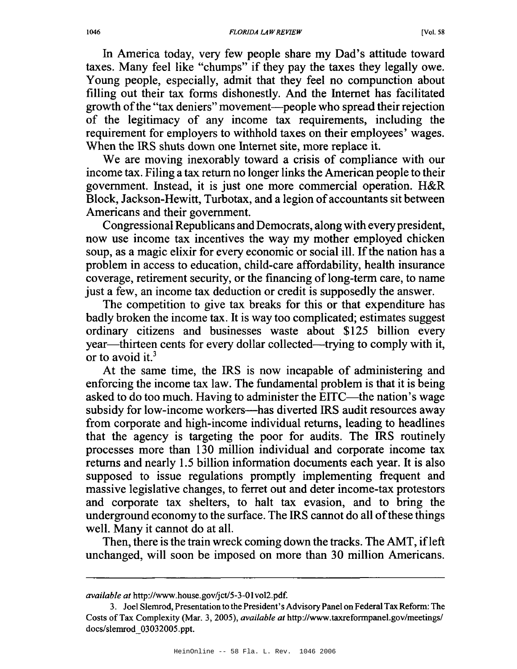In America today, very few people share my Dad's attitude toward taxes. Many feel like "chumps" if they pay the taxes they legally owe. Young people, especially, admit that they feel no compunction about filling out their tax forms dishonestly. And the Internet has facilitated growth of the "tax deniers" movement—people who spread their rejection of the legitimacy of any income tax requirements, including the requirement for employers to withhold taxes on their employees' wages. When the IRS shuts down one Internet site, more replace it.

We are moving inexorably toward a crisis of compliance with our income tax. Filing a tax return no longer links the American people to their government. Instead, it is just one more commercial operation. H&R Block, Jackson-Hewitt, Turbotax, and a legion of accountants sit between Americans and their government.

Congressional Republicans and Democrats, along with everypresident, now use income tax incentives the way my mother employed chicken soup, as a magic elixir for every economic or social ill. If the nation has a problem in access to education, child-care affordability, health insurance coverage, retirement security, or the financing of long-term care, to name just a few, an income tax deduction or credit is supposedly the answer.

The competition to give tax breaks for this or that expenditure has badly broken the income tax. It is way too complicated; estimates suggest ordinary citizens and businesses waste about \$125 billion every year—thirteen cents for every dollar collected—trying to comply with it, or to avoid it.<sup>3</sup>

At the same time, the IRS is now incapable of administering and enforcing the income tax law. The fundamental problem is that it is being asked to do too much. Having to administer the EITC—the nation's wage subsidy for low-income workers---has diverted IRS audit resources away from corporate and high-income individual returns, leading to headlines that the agency is targeting the poor for audits. The IRS routinely processes more than 130 million individual and corporate income tax returns and nearly 1.5 billion information documents each year. It is also supposed to issue regulations promptly implementing frequent and massive legislative changes, to ferret out and deter income-tax protestors and corporate tax shelters, to halt tax evasion, and to bring the underground economy to the surface. The IRS cannot do all of these things well. Many it cannot do at all.

Then, there is the train wreck coming down the tracks. The AMT, if left unchanged, will soon be imposed on more than 30 million Americans.

*available at* http://www.house.gov/jct/5-3-01vo12.pdf.

<sup>3.</sup> Joel Slemrod, Presentation to the President's AdvisoryPanel on FederalTaxRefonn: The Costs ofTax Complexity (Mar. 3, 2005), *available at* http://www.taxrefonnpanel.gov/meetings/ docs/slemrod\_03032005.ppt.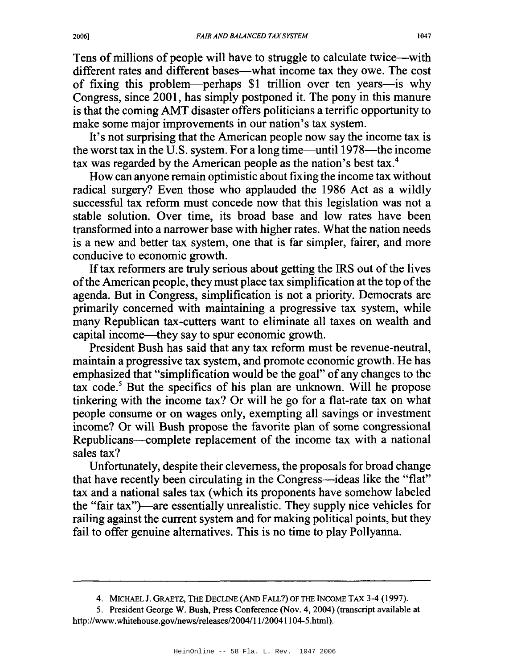Tens of millions of people will have to struggle to calculate twice—with different rates and different bases—what income tax they owe. The cost of fixing this problem-perhaps \$1 trillion over ten years-is why Congress, since 2001, has simply postponed it. The pony in this manure is that the coming AMT disaster offers politicians a terrific opportunity to make some major improvements in our nation's tax system.

It's not surprising that the American people now say the income tax is the worst tax in the U.S. system. For a long time—until  $1978$ —the income tax was regarded by the American people as the nation's best tax.<sup>4</sup>

How can anyone remain optimistic about fixing the income tax without radical surgery? Even those who applauded the 1986 Act as a wildly successful tax reform must concede now that this legislation was not a stable solution. Over time, its broad base and low rates have been transformed into a narrower base with higher rates. What the nation needs is a new and better tax system, one that is far simpler, fairer, and more conducive to economic growth.

If tax reformers are truly serious about getting the IRS out of the lives of the American people, they must place tax simplification at the top of the agenda. But in Congress, simplification is not a priority. Democrats are primarily concerned with maintaining a progressive tax system, while many Republican tax-cutters want to eliminate all taxes on wealth and capital income-they say to spur economic growth.

President Bush has said that any tax reform must be revenue-neutral, maintain a progressive tax system, and promote economic growth. He has emphasized that "simplification would be the goal" of any changes to the tax code.<sup>5</sup> But the specifics of his plan are unknown. Will he propose tinkering with the income tax? Or will he go for a flat-rate tax on what people consume or on wages only, exempting all savings or investment income? Or will Bush propose the favorite plan of some congressional Republicans-complete replacement of the income tax with a national sales tax?

Unfortunately, despite their cleverness, the proposals for broad change that have recently been circulating in the Congress—ideas like the "flat" tax and a national sales tax (which its proponents have somehow labeled the "fair tax"}-are essentially unrealistic. They supply nice vehicles for railing against the current system and for making political points, but they fail to offer genuine alternatives. This is no time to play Pollyanna.

<sup>4.</sup> MICHAEL 1. GRAETZ, THE DECLINE (AND FALL?) OF THE INCOME TAX 3-4 (1997).

<sup>5.</sup> President George W. Bush, Press Conference (Nov. 4, 2004) (transcript available at http://www.whitehouse.gov/news/releases/2004/11/20041104-5.html).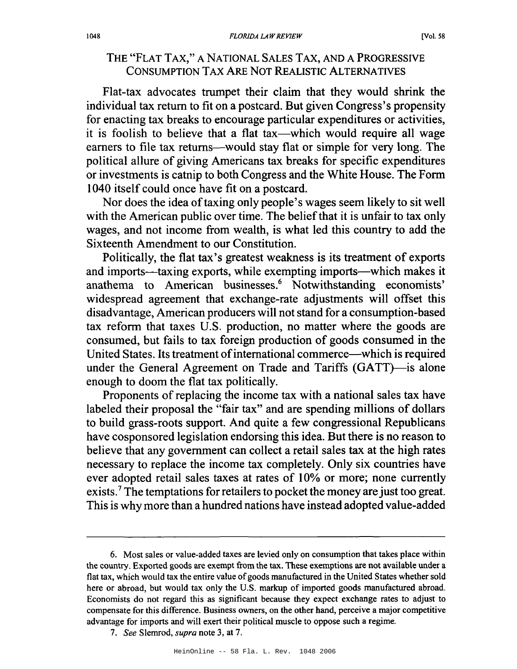# THE "FLAT TAX," A NATIONAL SALES TAX, AND A PROGRESSIVE CONSUMPTION TAX ARE NOT REALISTIC ALTERNATIVES

Flat-tax advocates trumpet their claim that they would shrink the individual tax return to fit on a postcard. But given Congress's propensity for enacting tax breaks to encourage particular expenditures or activities, it is foolish to believe that a flat tax—which would require all wage earners to file tax returns--would stay flat or simple for very long. The political allure of giving Americans tax breaks for specific expenditures or investments is catnip to both Congress and the White House. The Form 1040 itself could once have fit on a postcard.

Nor does the idea of taxing only people's wages seem likely to sit well with the American public over time. The belief that it is unfair to tax only wages, and not income from wealth, is what led this country to add the Sixteenth Amendment to our Constitution.

Politically, the flat tax's greatest weakness is its treatment of exports and imports-taxing exports, while exempting imports-which makes it anathema to American businesses.6 Notwithstanding economists' widespread agreement that exchange-rate adjustments will offset this disadvantage, American producers will not stand for a consumption-based tax reform that taxes U.S. production, no matter where the goods are consumed, but fails to tax foreign production of goods consumed in the United States. Its treatment of international commerce—which is required under the General Agreement on Trade and Tariffs (GATT)—is alone enough to doom the flat tax politically.

Proponents of replacing the income tax with a national sales tax have labeled their proposal the "fair tax" and are spending millions of dollars to build grass-roots support. And quite a few congressional Republicans have cosponsored legislation endorsing this idea. But there is no reason to believe that any government can collect a retail sales tax at the high rates necessary to replace the income tax completely. Only six countries have ever adopted retail sales taxes at rates of 10% or more; none currently exists.<sup>7</sup> The temptations for retailers to pocket the money are just too great. This is why more than a hundred nations have instead adopted value-added

<sup>6.</sup> Most sales or value-added taxes are levied only on consumption that takes place within the country. Exported goods are exempt from the tax. These exemptions are not available under a flat tax, which would tax the entire value of goods manufactured in the United States whether sold here or abroad, but would tax only the U.S. markup of imported goods manufactured abroad. Economists do not regard this as significant because they expect exchange rates to adjust to compensate for this difference. Business owners, on the other hand, perceive a major competitive advantage for imports and will exert their political muscle to oppose such a regime.

*<sup>7.</sup> See* Slemrod, *supra* note 3, at 7.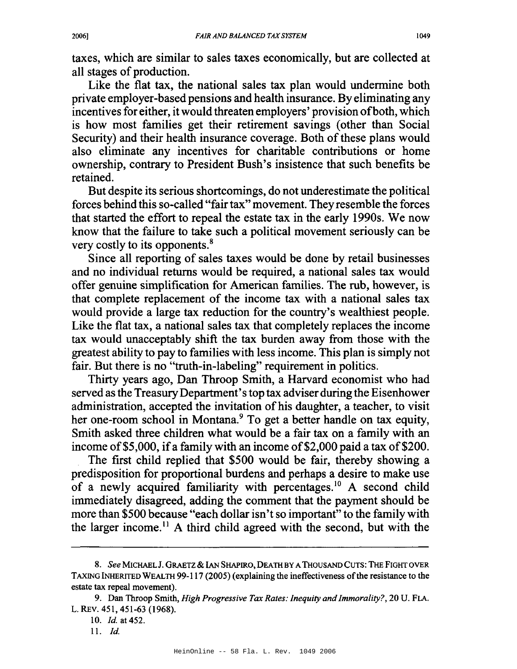taxes, which are similar to sales taxes economically, but are collected at all stages of production.

Like the flat tax, the national sales tax plan would undermine both private employer-based pensions and health insurance. By eliminating any incentives for either, it would threaten employers' provision of both, which is how most families get their retirement savings (other than Social Security) and their health insurance coverage. Both of these plans would also eliminate any incentives for charitable contributions or home ownership, contrary to President Bush's insistence that such benefits be retained.

But despite its serious shortcomings, do not underestimate the political forces behind this so-called "fairtax" movement. They resemble the forces that started the effort to repeal the estate tax in the early 1990s. We now know that the failure to take such a political movement seriously can be very costly to its opponents.<sup>8</sup>

Since all reporting of sales taxes would be done by retail businesses and no individual returns would be required, a national sales tax would offer genuine simplification for American families. The rub, however, is that complete replacement of the income tax with a national sales tax would provide a large tax reduction for the country's wealthiest people. Like the flat tax, a national sales tax that completely replaces the income tax would unacceptably shift the tax burden away from those with the greatest ability to pay to families with less income. This plan is simply not fair. But there is no "truth-in-labeling" requirement in politics.

Thirty years ago, Dan Throop Smith, a Harvard economist who had served as the Treasury Department's top tax adviser during the Eisenhower administration, accepted the invitation of his daughter, a teacher, to visit her one-room school in Montana.<sup>9</sup> To get a better handle on tax equity, Smith asked three children what would be a fair tax on a family with an income of \$5,000, if a family with an income of \$2,000 paid a tax of \$200.

The first child replied that \$500 would be fair, thereby showing a predisposition for proportional burdens and perhaps a desire to make use of a newly acquired familiarity with percentages.<sup>10</sup> A second child immediately disagreed, adding the comment that the payment should be more than \$500 because "each dollar isn't so important" to the family with the larger income.<sup>11</sup> A third child agreed with the second, but with the

*<sup>8.</sup> See* MICHAELJ. GRAETZ& IAN SHAPIRO, DEATHBY ATHOUSAND CUTS: THE FIGHT OVER TAXING INHERITED WEALTH 99-117 (2005) (explaining the ineffectiveness ofthe resistance to the estate tax repeal movement).

<sup>9.</sup> Dan Throop Smith, *High Progressive Tax Rates: Inequity and Immorality?,* 20 U. FLA. L. REv. 451,451-63 (1968).

*<sup>10.</sup> Id.* at 452.

<sup>11.</sup> *Id.*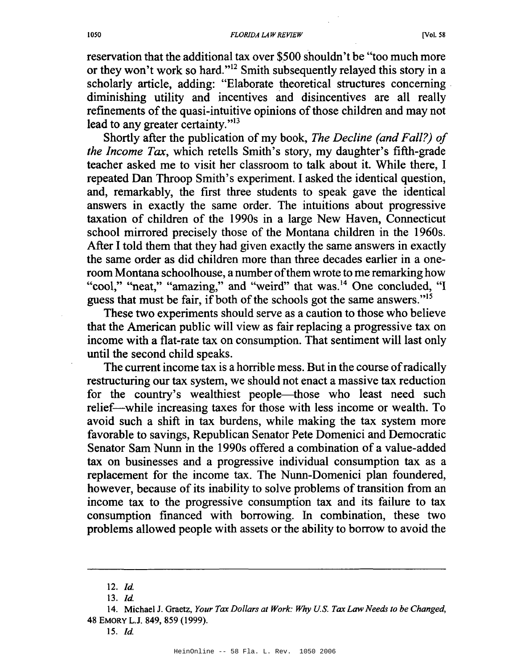reservation that the additional tax over \$500 shouldn't be "too much more or they won't work so hard."12 Smith subsequently relayed this story in a scholarly article, adding: "Elaborate theoretical structures concerning . diminishing utility and incentives and disincentives are all really refinements of the quasi-intuitive opinions of those children and may not lead to any greater certainty."<sup>13</sup>

Shortly after the publication of my book, *The Decline (and Fall?) of the Income Tax,* which retells Smith's story, my daughter's fifth-grade teacher asked me to visit her classroom to talk about it. While there, 1 repeated Dan Throop Smith's experiment. 1asked the identical question, and, remarkably, the first three students to speak gave the identical answers in exactly the same order. The intuitions about progressive taxation of children of the 1990s in a large New Haven, Connecticut school mirrored precisely those of the Montana children in the 1960s. After 1told them that they had given exactly the same answers in exactly the same order as did children more than three decades earlier in a oneroom Montana schoolhouse, a number of them wrote to me remarking how "cool," "neat," "amazing," and "weird" that was.<sup>14</sup> One concluded, "I guess that must be fair, if both of the schools got the same answers. $15$ 

These two experiments should serve as a caution to those who believe that the American public will view as fair replacing a progressive tax on income with a flat-rate tax on consumption. That sentiment will last only until the second child speaks.

The current income tax is a horrible mess. But in the course ofradically restructuring our tax system, we should not enact a massive tax reduction for the country's wealthiest people—those who least need such relief--while increasing taxes for those with less income or wealth. To avoid such a shift in tax burdens, while making the tax system more favorable to savings, Republican Senator Pete Domenici and Democratic Senator Sam Nunn in the 1990s offered a combination of a value-added tax on businesses and a progressive individual consumption tax as a replacement for the income tax. The Nunn-Domenici plan foundered, however, because of its inability to solve problems of transition from an income tax to the progressive consumption tax and its failure to tax consumption financed with borrowing. In combination, these two problems allowed people with assets or the ability to borrow to avoid the

<sup>12.</sup> *Id.* 

*<sup>13.</sup> [d.*

<sup>14.</sup> Michael J. Graetz, *Your Tax Dollars at Work: Why U.S. Tax LawNeeds to be Changed,* 48 EMORY L.J. 849, 859 (1999).

<sup>15.</sup> [d.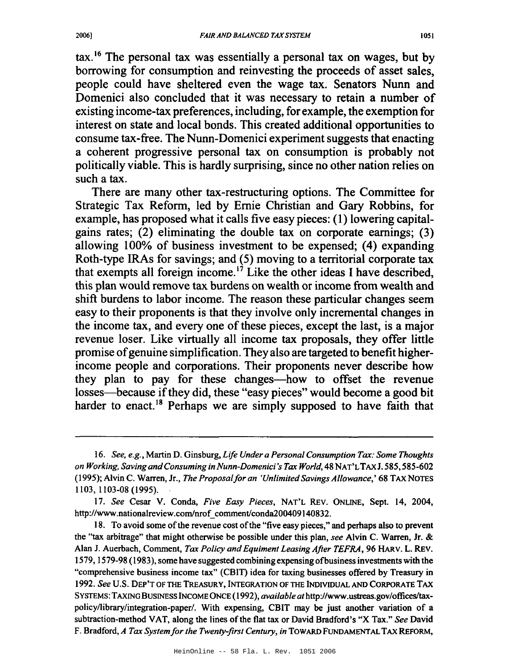$\text{tax.}^{16}$  The personal tax was essentially a personal tax on wages, but by borrowing for consumption and reinvesting the proceeds of asset sales, people could have sheltered even the wage tax. Senators Nunn and Domenici also concluded that it was necessary to retain a number of existing income-tax preferences, including, for example, the exemption for interest on state and local bonds. This created additional opportunities to consume tax-free. The Nunn-Domenici experiment suggests that enacting a coherent progressive personal tax on consumption is probably not politically viable. This is hardly surprising, since no other nation relies on such a tax.

There are many other tax-restructuring options. The Committee for Strategic Tax Reform, led by Ernie Christian and Gary Robbins, for example, has proposed what it calls five easy pieces: (1) lowering capitalgains rates; (2) eliminating the double tax on corporate earnings; (3) allowing 100% of business investment to be expensed; (4) expanding Roth-type lRAs for savings; and (5) moving to a territorial corporate tax that exempts all foreign income.<sup>17</sup> Like the other ideas I have described, this plan would remove tax burdens on wealth or income from wealth and shift burdens to labor income. The reason these particular changes seem easy to their proponents is that they involve only incremental changes in the income tax, and every one of these pieces, except the last, is a major revenue loser. Like virtually all income tax proposals, they offer little promise ofgenuine simplification. They also are targeted to benefit higherincome people and corporations. Their proponents never describe how they plan to pay for these changes-how to offset the revenue losses—because if they did, these "easy pieces" would become a good bit harder to enact.<sup>18</sup> Perhaps we are simply supposed to have faith that

*<sup>16.</sup> See, e.g.,* Martin D. Ginsburg, *Life Under a Personal Consumption Tax: Some Thoughts on Working, Saving andConsuming inNunn-Domenici 's Tax World,* 48 NAT'LTAXJ. 585,585-602 (1995); Alvin C. Warren, Jr., *The Proposalfor an 'UnlimitedSavings Allowance,'* 68 TAX NOTES 1103, 1103-08 (1995).

*<sup>17.</sup> See* Cesar V. Conda, *Five Easy Pieces,* NAT'L REv. ONLINE, Sept. 14, 2004, http://www.nationalreview.com/nrof comment/conda200409140832.

<sup>18.</sup> To avoid some of the revenue cost of the "five easy pieces," and perhaps also to prevent the "tax arbitrage" that might otherwise be possible under this plan, *see* Alvin C. Warren, Jr. & Alan J. Auerbach, Comment, *Tax Policy and Equiment Leasing After TEFRA,* 96 HARv. L. REv. 1579, 1579-98 (1983), some have suggested combining expensing ofbusinessinvestments with the "comprehensive business income tax" (CBIT) idea for taxing businesses offered by Treasury in 1992. *See* U.s. DEP'T OF THE TREASURY, INTEGRATION OF THE INDNIDUALANDCORPORATE TAX SYSTEMS: TAXINGBUSINESS INCOMEONCE (1992), *available at* http://www.ustreas.gov/offices/taxpolicy/library/integration-paper/. With expensing, CBIT may be just another variation of a subtraction-method VAT, along the lines of the flat tax or David Bradford's "X Tax." See David F. Bradford, *A Tax Systemfor the Twenty-first Century, in* TowARD FUNDAMENTAL TAX REFORM,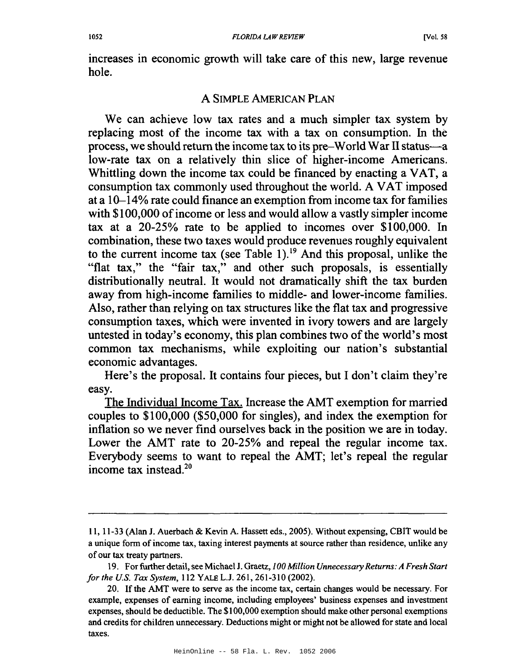increases in economic growth will take care of this new, large revenue hole.

#### A SIMPLE AMERICAN PLAN

We can achieve low tax rates and a much simpler tax system by replacing most of the income tax with a tax on consumption. In the process, we should return the income tax to its pre-World War II status-a low-rate tax on a relatively thin slice of higher-income Americans. Whittling down the income tax could be financed by enacting a VAT, a consumption tax commonly used throughout the world. A VAT imposed at a 10-14% rate could finance an exemption from income tax for families with \$100,000 of income or less and would allow a vastly simpler income tax at a 20-25% rate to be applied to incomes over \$100,000. In combination, these two taxes would produce revenues roughly equivalent to the current income tax (see Table 1).<sup>19</sup> And this proposal, unlike the "flat tax," the "fair tax," and other such proposals, is essentially distributionally neutral. It would not dramatically shift the tax burden away from high-income families to middle- and lower-income families. Also, rather than relying on tax structures like the flat tax and progressive consumption taxes, which were invented in ivory towers and are largely untested in today's economy, this plan combines two of the world's most common tax mechanisms, while exploiting our nation's substantial economic advantages.

Here's the proposal. It contains four pieces, but I don't claim they're easy.

The Individual Income Tax. Increase the AMT exemption for married couples to \$100,000 (\$50,000 for singles), and index the exemption for inflation so we never find ourselves back in the position we are in today. Lower the AMT rate to 20-25% and repeal the regular income tax. Everybody seems to want to repeal the AMT; let's repeal the regular income tax instead.2°

II, 11-33 (Alan J. Auerbach & Kevin A. Hassett eds., 2005). Without expensing, CBIT would be a unique form of income tax, taxing interest payments at source rather than residence, unlike any of our tax treaty partners.

<sup>19.</sup> For further detail,see Michael J. Graetz, *100 Million Unnecessary Returns: A Fresh Start for the U.S. Tax System,* 112 YALE L.J. 261,261-310 (2002).

<sup>20.</sup> Ifthe AMT were to serve as the income tax, certain changes would be necessary. For example, expenses of earning income, including employees' business expenses and investment expenses, should be deductible. The \$100,000 exemption should make other personal exemptions and credits for children unnecessary. Deductions might or might not be allowed for state and local taxes.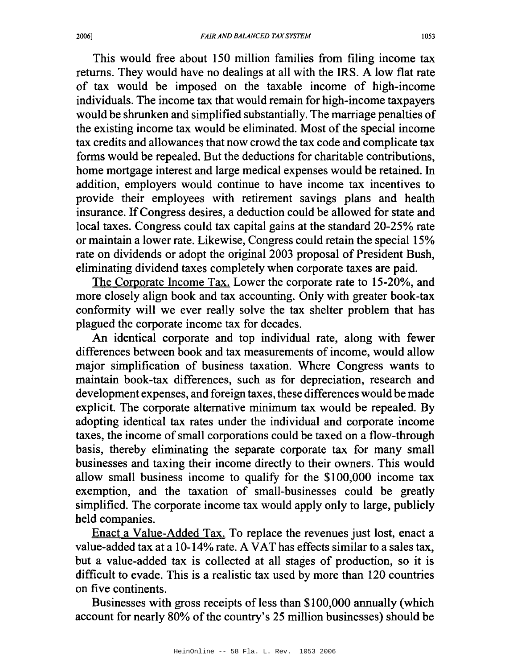This would free about 150 million families from filing income tax returns. They would have no dealings at all with the IRS. A low flat rate of tax would be imposed on the taxable income of high-income individuals. The income tax that would remain for high-income taxpayers would be shrunken and simplified substantially. The marriage penalties of the existing income tax would be eliminated. Most of the special income tax credits and allowances that now crowd the tax code and complicate tax forms would be repealed. But the deductions for charitable contributions, home mortgage interest and large medical expenses would be retained. In addition, employers would continue to have income tax incentives to provide their employees with retirement savings plans and health insurance. IfCongress desires, a deduction could be allowed for state and local taxes. Congress could tax capital gains at the standard 20-25% rate or maintain a lower rate. Likewise, Congress could retain the special 15% rate on dividends or adopt the original 2003 proposal of President Bush, eliminating dividend taxes completely when corporate taxes are paid.

The Corporate Income Tax. Lower the corporate rate to 15-20%, and more closely align book and tax accounting. Only with greater book-tax conformity will we ever really solve the tax shelter problem that has plagued the corporate income tax for decades.

An identical corporate and top individual rate, along with fewer differences between book and tax measurements of income, would allow major simplification of business taxation. Where Congress wants to maintain book-tax differences, such as for depreciation, research and development expenses, and foreign taxes, these differences would be made explicit. The corporate alternative minimum tax would be repealed. By adopting identical tax rates under the individual and corporate income taxes, the income of small corporations could be taxed on a flow-through basis, thereby eliminating the separate corporate tax for many small businesses and taxing their income directly to their owners. This would allow small business income to qualify for the \$100,000 income tax exemption, and the taxation of small-businesses could be greatly simplified. The corporate income tax would apply only to large, publicly held companies.

Enact a Value-Added Tax. To replace the revenues just lost, enact a value-added tax at a 10-14% rate. A VAT has effects similar to a sales tax, but a value-added tax is collected at all stages of production, so it is difficult to evade. This is a realistic tax used by more than 120 countries on five continents.

Businesses with gross receipts of less than \$100,000 annually (which account for nearly 80% of the country's 25 million businesses) should be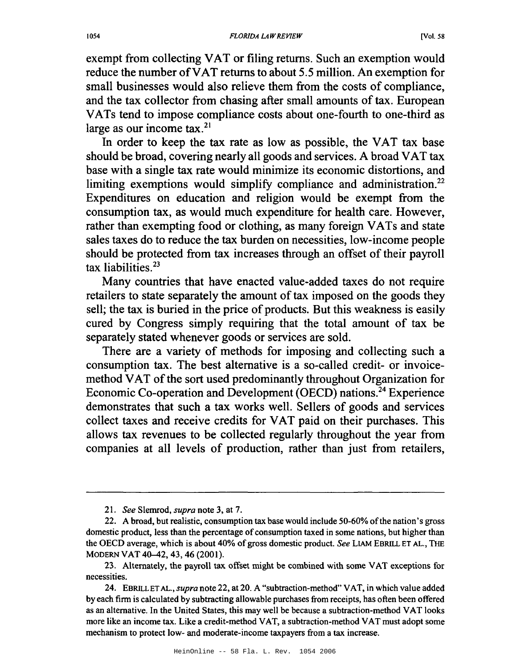exempt from collecting VAT or filing returns. Such an exemption would reduce the number ofVAT returns to about 5.5 million. An exemption for small businesses would also relieve them from the costs of compliance, and the tax collector from chasing after small amounts of tax. European VATs tend to impose compliance costs about one-fourth to one-third as large as our income tax.<sup>21</sup>

In order to keep the tax rate as low as possible, the VAT tax base should be broad, covering nearly all goods and services. A broad VAT tax base with a single tax rate would minimize its economic distortions, and limiting exemptions would simplify compliance and administration.<sup>22</sup> Expenditures on education and religion would be exempt from the consumption tax, as would much expenditure for health care. However, rather than exempting food or clothing, as many foreign VATs and state sales taxes do to reduce the tax burden on necessities, low-income people should be protected from tax increases through an offset of their payroll tax liabilities.<sup>23</sup>

Many countries that have enacted value-added taxes do not require retailers to state separately the amount of tax imposed on the goods they sell; the tax is buried in the price of products. But this weakness is easily cured by Congress simply requiring that the total amount of tax be separately stated whenever goods or services are sold.

There are a variety of methods for imposing and collecting such a consumption tax. The best alternative is a so-called credit- or invoicemethod VAT of the sort used predominantly throughout Organization for Economic Co-operation and Development (DECD) nations.<sup>24</sup> Experience demonstrates that such a tax works well. Sellers of goods and services collect taxes and receive credits for VAT paid on their purchases. This allows tax revenues to be collected regularly throughout the year from companies at all levels of production, rather than just from retailers,

<sup>21.</sup> *See* Slemrod, *supra* note 3, at 7.

<sup>22.</sup> A broad, but realistic, consumption tax base would include 50-60% ofthe nation's gross domestic product, less than the percentage of consumption taxed in some nations, but higher than the OECD average, which is about 40% of gross domestic product. See LIAM EBRILL ET AL., THE MODERN VAT 40-42,43,46 (2001).

<sup>23.</sup> Alternately, the payroll tax offset might be combined with some VAT exceptions for necessities.

<sup>24.</sup> EBRILLET AL., *supra* note 22, at 20. A "subtraction-method" VAT, in which value added by each firm is calculated by subtracting allowable purchases from receipts, has often been offered as an alternative. In the United States, this may well be because a subtraction-method VAT looks more like an income tax. Like a credit-method VAT, a subtraction-method VAT must adopt some mechanism to protect low- and moderate-income taxpayers from a tax increase.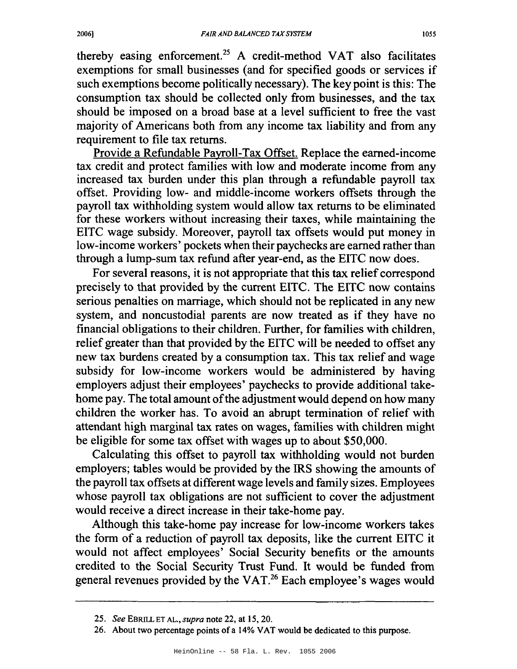thereby easing enforcement.25 A credit-method VAT also facilitates exemptions for small businesses (and for specified goods or services if such exemptions become politically necessary). The key point is this: The consumption tax should be collected only from businesses, and the tax should be imposed on a broad base at a level sufficient to free the vast majority of Americans both from any income tax liability and from any requirement to file tax returns.

Provide a Refundable Payroll-Tax Offset. Replace the earned-income tax credit and protect families with low and moderate income from any increased tax burden under this plan through a refundable payroll tax offset. Providing low- and middle-income workers offsets through the payroll tax withholding system would allow tax returns to be eliminated for these workers without increasing their taxes, while maintaining the EITC wage subsidy. Moreover, payroll tax offsets would put money in low-income workers' pockets when their paychecks are earned rather than through a lump-sum tax refund after year-end, as the EITC now does.

For several reasons, it is not appropriate that this tax relief correspond precisely to that provided by the current EITC. The EITC now contains serious penalties on marriage, which should not be replicated in any new system, and noncustodial parents are now treated as if they have no financial obligations to their children. Further, for families with children, relief greater than that provided by the EITC will be needed to offset any new tax burdens created by a consumption tax. This tax relief and wage subsidy for low-income workers would be administered by having employers adjust their employees' paychecks to provide additional takehome pay. The total amount of the adjustment would depend on how many children the worker has. To avoid an abrupt termination of relief with attendant high marginal tax rates on wages, families with children might be eligible for some tax offset with wages up to about \$50,000.

Calculating this offset to payroll tax withholding would not burden employers; tables would be provided by the IRS showing the amounts of the payroll tax offsets at different wage levels and family sizes. Employees whose payroll tax obligations are not sufficient to cover the adjustment would receive a direct increase in their take-home pay.

Although this take-home pay increase for low-income workers takes the form of a reduction of payroll tax deposits, like the current EITC it would not affect employees' Social Security benefits or the amounts credited to the Social Security Trust Fund. It would be funded from general revenues provided by the VAT.<sup>26</sup> Each employee's wages would

*<sup>25.</sup> See* EBRILL ET AL., *supra* note 22, at 15,20.

<sup>26.</sup> About two percentage points of a 14% VAT would be dedicated to this purpose.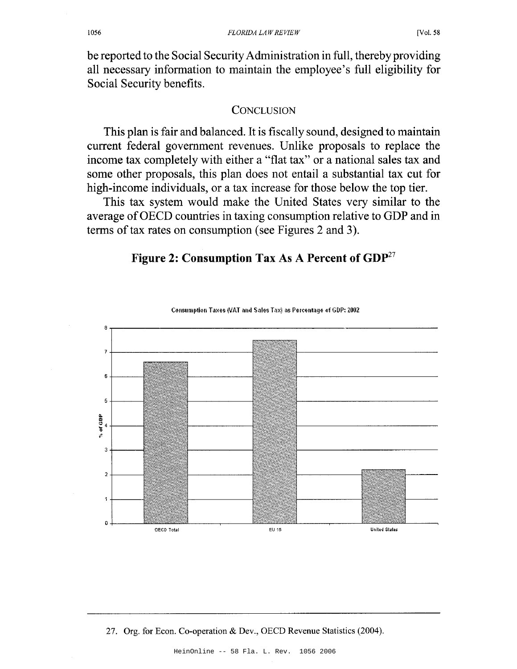be reported to the Social SecurityAdministration in full, thereby providing all necessary information to maintain the employee's full eligibility for Social Security benefits.

#### **CONCLUSION**

This plan is fair and balanced. It is fiscally sound, designed to maintain current federal government revenues. Unlike proposals to replace the income tax completely with either a "flat tax" or a national sales tax and some other proposals, this plan does not entail a substantial tax cut for high-income individuals, or a tax increase for those below the top tier.

This tax system would make the United States very similar to the average ofOECD countries in taxing consumption relative to GDP and in terms of tax rates on consumption (see Figures 2 and 3).

# Figure 2: Consumption Tax As A Percent of GDP<sup>27</sup>



Consumption Taxes (VAT and Sales Tax) as Percentage of GDP: 2002

27. Org. for Econ. Co-operation & Dev., OECD Revenue Statistics (2004).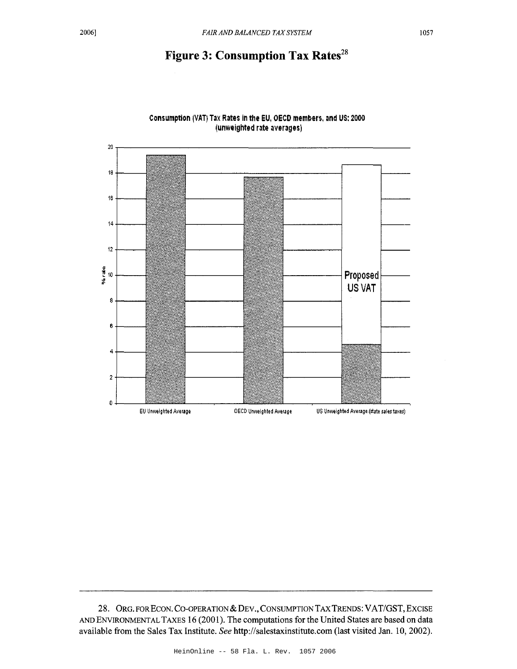# Figure 3: Consumption Tax Rates<sup>28</sup>



Consumption iVAT) Tax Rates in the EU, OECD members, and US: 2000 (unweighted rate averages)

28. ORG. FOR ECON. CO-OPERATION & DEV., CONSUMPTION TAX TRENDS: VAT/GST, EXCISE AND ENVIRONMENTALTAXES 16 (2001). The computations for the United States are based on data available from the Sales Tax Institute. *See* http://salestaxinstitute.com (last visited Jan. 10, 2002).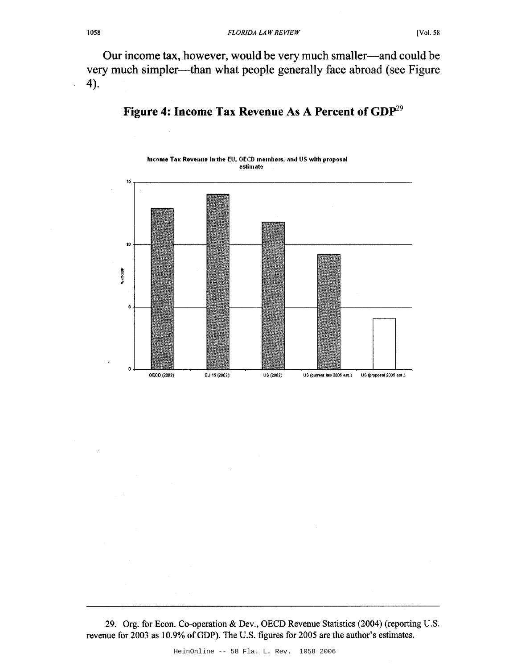Our income tax, however, would be very much smaller—and could be very much simpler—than what people generally face abroad (see Figure 4).



# **Figure 4: Income Tax Revenue** As A **Percent of** GDp29

29. Org. for Econ. Co-operation & Dev., OECD Revenue Statistics (2004) (reporting U.S. revenue for 2003 as 10.9% ofGDP). The U.S. figures for 2005 are the author's estimates.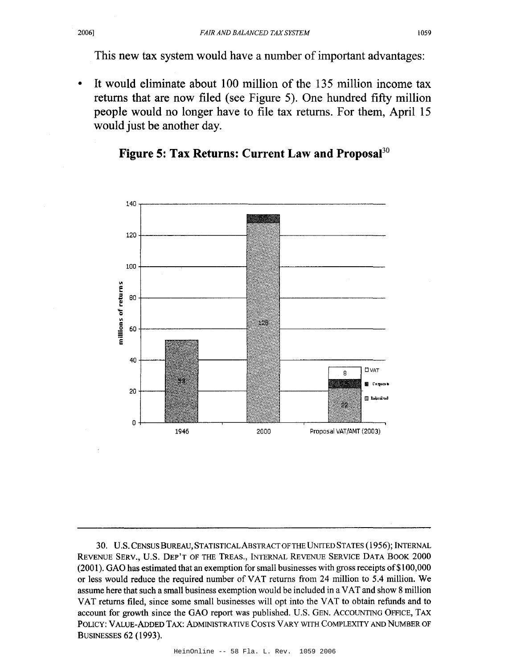This new tax system would have a number of important advantages:

• It would eliminate about 100 million of the 135 million income tax returns that are now filed (see Figure 5). One hundred fifty million people would no longer have to file tax returns. For them, April 15 would just be another day.

# **Figure 5: Tax Returns: Current Law and Proposal30**



30. U.S. CENSUSBUREAU, STATISTICALABSTRACTOFTHE UNITED STATES (1956); INTERNAL REVENUE SERV., U.S. DEP'T OF THE TREAS., INTERNAL REVENUE SERVICE DATA BOOK 2000 (2001). GAO has estimated that an exemption for small businesses with gross receipts of\$l 00,000 or less would reduce the required number of VAT returns from 24 million to 5.4 million. We assume here that such a small business exemption would be included in a VAT and show 8 million VAT returns filed, since some small businesses will opt into the VAT to obtain refunds and to account for growth since the GAO report was published. U.S. GEN. ACCOUNTING OFFICE, TAX POLICY: VALUE-ADDED TAX: ADMINISTRATIVE COSTS VARY WITH COMPLEXITY AND NUMBER OF BUSINESSES 62 (1993).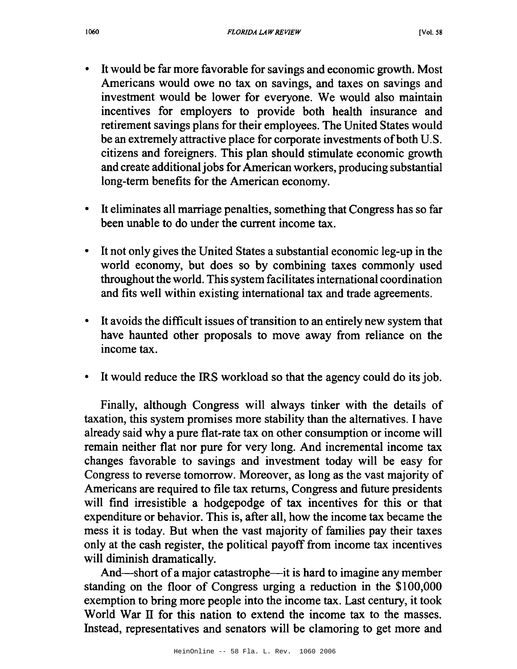- Itwould be far more favorable for savings and economic growth. Most Americans would owe no tax on savings, and taxes on savings and investment would be lower for everyone. We would also maintain incentives for employers to provide both health insurance and retirement savings plans for their employees. The United States would be an extremely attractive place for corporate investments of both U.S. citizens and foreigners. This plan should stimulate economic growth and create additional jobs for American workers, producing substantial long-term benefits for the American economy.
- It eliminates all marriage penalties, something that Congress has so far been unable to do under the current income tax.
- It not only gives the United States a substantial economic leg-up in the world economy, but does so by combining taxes commonly used throughout the world. Thissystem facilitates international coordination and fits well within existing international tax and trade agreements.
- It avoids the difficult issues of transition to an entirely new system that have haunted other proposals to move away from reliance on the income tax.
- It would reduce the IRS workload so that the agency could do its job.

Finally, although Congress will always tinker with the details of taxation, this system promises more stability than the alternatives. I have already said why a pure flat-rate tax on other consumption or income will remain neither flat nor pure for very long. And incremental income tax changes favorable to savings and investment today will be easy for Congress to reverse tomorrow. Moreover, as long as the vast majority of Americans are required to file tax returns, Congress and future presidents will find irresistible a hodgepodge of tax incentives for this or that expenditure or behavior. This is, after all, how the income tax became the mess it is today. But when the vast majority of families pay their taxes only at the cash register, the political payoff from income tax incentives will diminish dramatically.

And—short of a major catastrophe—it is hard to imagine any member standing on the floor of Congress urging a reduction in the \$100,000 exemption to bring more people into the income tax. Last century, it took World War II for this nation to extend the income tax to the masses. Instead, representatives and senators will be clamoring to get more and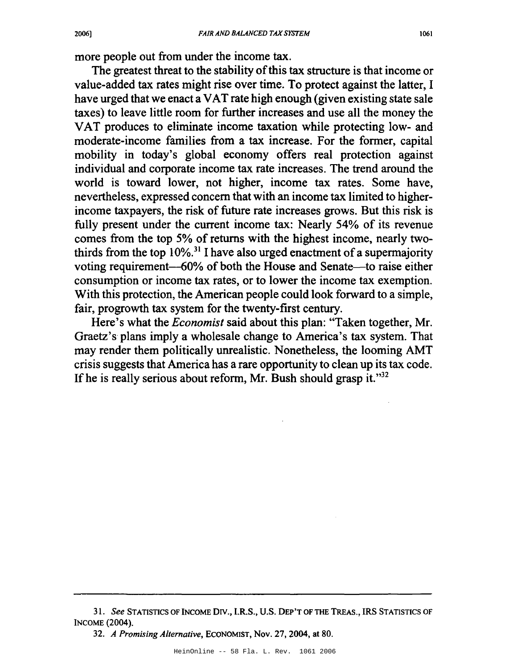more people out from under the income tax.

The greatest threat to the stability of this tax structure is that income or value-added tax rates might rise over time. To protect against the latter, I have urged that we enact a VAT rate high enough (given existing state sale taxes) to leave little room for further increases and use all the money the VAT produces to eliminate income taxation while protecting low- and moderate-income families from a tax increase. For the former, capital mobility in today's global economy offers real protection against individual and corporate income tax rate increases. The trend around the world is toward lower, not higher, income tax rates. Some have, nevertheless, expressed concern that with an income tax limited to higherincome taxpayers, the risk of future rate increases grows. But this risk is fully present under the current income tax: Nearly 54% of its revenue comes from the top 5% of returns with the highest income, nearly twothirds from the top  $10\%$ <sup>31</sup> I have also urged enactment of a supermajority voting requirement-60% of both the House and Senate-to raise either consumption or income tax rates, or to lower the income tax exemption. With this protection, the American people could look forward to a simple, fair, progrowth tax system for the twenty-first century.

Here's what the *Economist* said about this plan: "Taken together, Mr. Graetz's plans imply a wholesale change to America's tax system. That may render them politically unrealistic. Nonetheless, the looming AMT crisis suggests that America has a rare opportunity to clean up its tax code. If he is really serious about reform, Mr. Bush should grasp it. $m<sup>32</sup>$ 

*<sup>31.</sup> See* STATISTICS OF INCOME *ON.,* I.R.S., U.S. DEP'T OF THE TREAS., IRS STATISTICS OF INCOME (2004).

*<sup>32.</sup> A Promising Alternative,* ECONOMIST, Nov. 27, 2004, at 80.